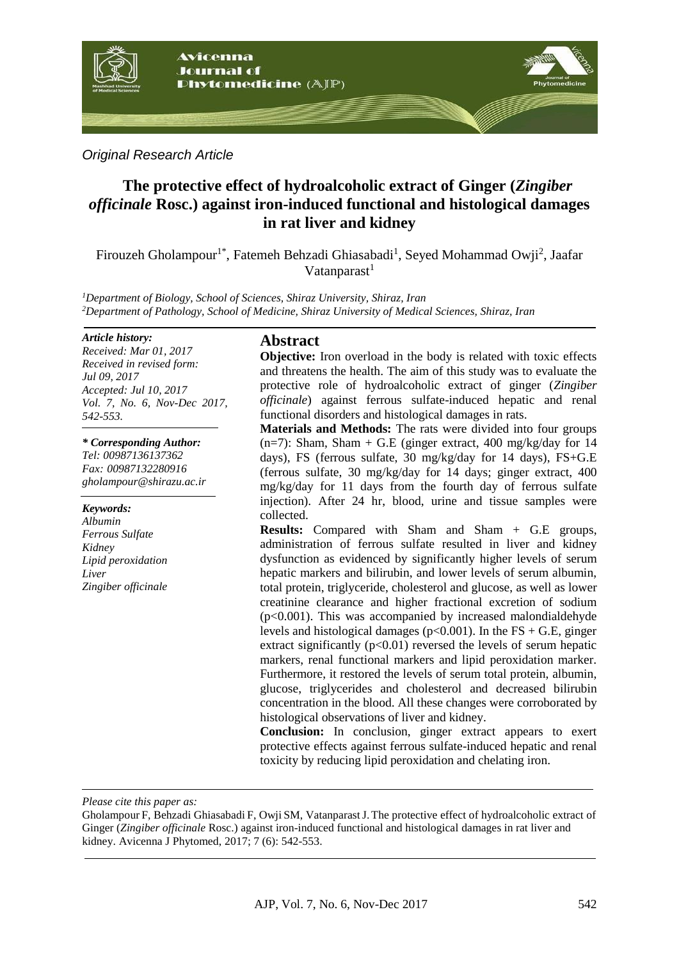

*Original Research Article*

# **The protective effect of hydroalcoholic extract of Ginger (***Zingiber officinale* **Rosc.) against iron-induced functional and histological damages in rat liver and kidney**

Firouzeh Gholampour<sup>1\*</sup>, Fatemeh Behzadi Ghiasabadi<sup>1</sup>, Seyed Mohammad Owji<sup>2</sup>, Jaafar Vatanparast $<sup>1</sup>$ </sup>

*<sup>1</sup>Department of Biology, School of Sciences, Shiraz University, Shiraz, Iran <sup>2</sup>Department of Pathology, School of Medicine, Shiraz University of Medical Sciences, Shiraz, Iran*

#### *Article history:*

*Received: Mar 01, 2017 Received in revised form: Jul 09, 2017 Accepted: Jul 10, 2017 Vol. 7, No. 6, Nov-Dec 2017, 542-553.*

#### *\* Corresponding Author:*

*Tel: 00987136137362 Fax: 00987132280916 [gholampour@shirazu.ac.ir](mailto:gholampour@shirazu.ac.ir)*

*Keywords: Albumin Ferrous Sulfate Kidney Lipid peroxidation Liver Zingiber officinale*

### **Abstract**

**Objective:** Iron overload in the body is related with toxic effects and threatens the health. The aim of this study was to evaluate the protective role of hydroalcoholic extract of ginger (*Zingiber officinale*) against ferrous sulfate-induced hepatic and renal functional disorders and histological damages in rats.

**Materials and Methods:** The rats were divided into four groups  $(n=7)$ : Sham, Sham + G.E (ginger extract, 400 mg/kg/day for 14 days), FS (ferrous sulfate, 30 mg/kg/day for 14 days), FS+G.E (ferrous sulfate, 30 mg/kg/day for 14 days; ginger extract, 400 mg/kg/day for 11 days from the fourth day of ferrous sulfate injection). After 24 hr, blood, urine and tissue samples were collected.

**Results:** Compared with Sham and Sham + G.E groups, administration of ferrous sulfate resulted in liver and kidney dysfunction as evidenced by significantly higher levels of serum hepatic markers and bilirubin, and lower levels of serum albumin, total protein, triglyceride, cholesterol and glucose, as well as lower creatinine clearance and higher fractional excretion of sodium  $(p<0.001)$ . This was accompanied by increased malondialdehyde levels and histological damages ( $p<0.001$ ). In the FS + G.E, ginger extract significantly  $(p<0.01)$  reversed the levels of serum hepatic markers, renal functional markers and lipid peroxidation marker. Furthermore, it restored the levels of serum total protein, albumin, glucose, triglycerides and cholesterol and decreased bilirubin concentration in the blood. All these changes were corroborated by histological observations of liver and kidney.

**Conclusion:** In conclusion, ginger extract appears to exert protective effects against ferrous sulfate-induced hepatic and renal toxicity by reducing lipid peroxidation and chelating iron.

*Please cite this paper as:* 

Gholampour F, Behzadi Ghiasabadi F, Owji SM, VatanparastJ.The protective effect of hydroalcoholic extract of Ginger (*Zingiber officinale* Rosc.) against iron-induced functional and histological damages in rat liver and kidney. Avicenna J Phytomed, 2017; 7 (6): 542-553.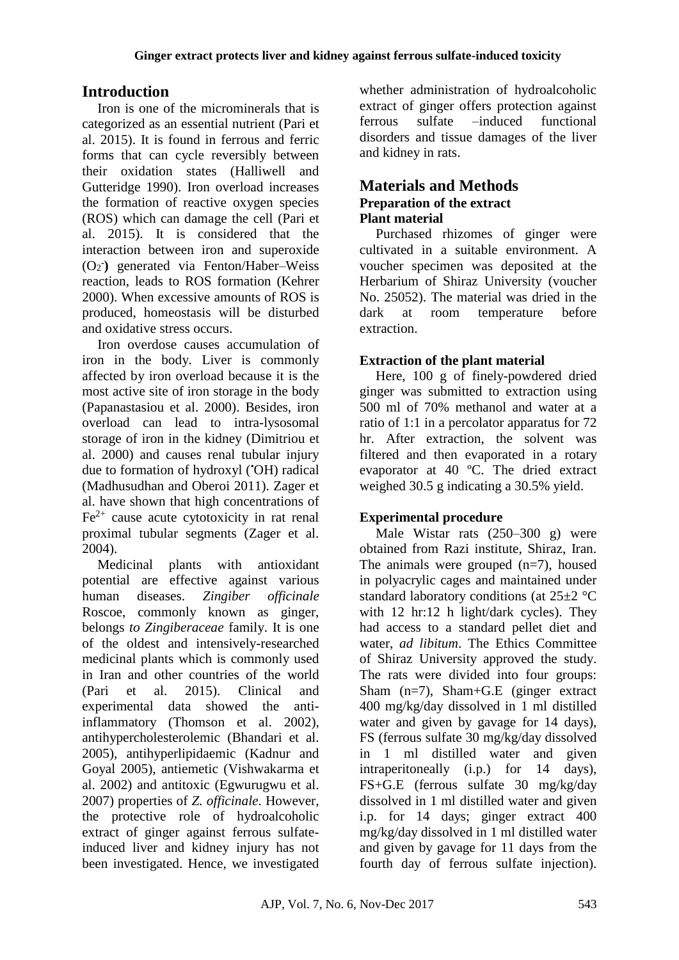# **Introduction**

Iron is one of the microminerals that is categorized as an essential nutrient (Pari et al. 2015). It is found in ferrous and ferric forms that can cycle reversibly between their oxidation states (Halliwell and Gutteridge 1990). Iron overload increases the formation of reactive oxygen species (ROS) which can damage the cell (Pari et al. 2015). It is considered that the interaction between iron and superoxide (O<sup>2</sup> **- )** generated via Fenton/Haber–Weiss reaction, leads to ROS formation (Kehrer 2000). When excessive amounts of ROS is produced, homeostasis will be disturbed and oxidative stress occurs.

Iron overdose causes accumulation of iron in the body. Liver is commonly affected by iron overload because it is the most active site of iron storage in the body (Papanastasiou et al. 2000). Besides, iron overload can lead to intra-lysosomal storage of iron in the kidney (Dimitriou et al. 2000) and causes renal tubular injury due to formation of hydroxyl (•OH) radical (Madhusudhan and Oberoi 2011). Zager et al. have shown that high concentrations of  $Fe<sup>2+</sup>$  cause acute cytotoxicity in rat renal proximal tubular segments (Zager et al. 2004).

Medicinal plants with antioxidant potential are effective against various human diseases. *Zingiber officinale*  Roscoe, commonly known as ginger, belongs *to Zingiberaceae* family. It is one of the oldest and intensively-researched medicinal plants which is commonly used in Iran and other countries of the world (Pari et al. 2015). Clinical and experimental data showed the antiinflammatory (Thomson et al. 2002), antihypercholesterolemic (Bhandari et al. 2005), antihyperlipidaemic (Kadnur and Goyal 2005), antiemetic (Vishwakarma et al. 2002) and antitoxic (Egwurugwu et al. 2007) properties of *Z. officinale*. However, the protective role of hydroalcoholic extract of ginger against ferrous sulfateinduced liver and kidney injury has not been investigated. Hence, we investigated whether administration of hydroalcoholic extract of ginger offers protection against ferrous sulfate –induced functional disorders and tissue damages of the liver and kidney in rats.

# **Materials and Methods Preparation of the extract Plant material**

Purchased rhizomes of ginger were cultivated in a suitable environment. A voucher specimen was deposited at the Herbarium of Shiraz University (voucher No. 25052). The material was dried in the dark at room temperature before extraction.

# **Extraction of the plant material**

Here, 100 g of finely-powdered dried ginger was submitted to extraction using 500 ml of 70% methanol and water at a ratio of 1:1 in a percolator apparatus for 72 hr. After extraction, the solvent was filtered and then evaporated in a rotary evaporator at 40 ºC. The dried extract weighed 30.5 g indicating a 30.5% yield.

# **Experimental procedure**

Male Wistar rats (250–300 g) were obtained from Razi institute, Shiraz, Iran. The animals were grouped  $(n=7)$ , housed in polyacrylic cages and maintained under standard laboratory conditions (at 25±2 °C with 12 hr:12 h light/dark cycles). They had access to a standard pellet diet and water, *ad libitum*. The Ethics Committee of Shiraz University approved the study. The rats were divided into four groups: Sham  $(n=7)$ , Sham+G.E (ginger extract) 400 mg/kg/day dissolved in 1 ml distilled water and given by gavage for 14 days), FS (ferrous sulfate 30 mg/kg/day dissolved in 1 ml distilled water and given intraperitoneally (i.p.) for 14 days), FS+G.E (ferrous sulfate 30 mg/kg/day dissolved in 1 ml distilled water and given i.p. for 14 days; ginger extract 400 mg/kg/day dissolved in 1 ml distilled water and given by gavage for 11 days from the fourth day of ferrous sulfate injection).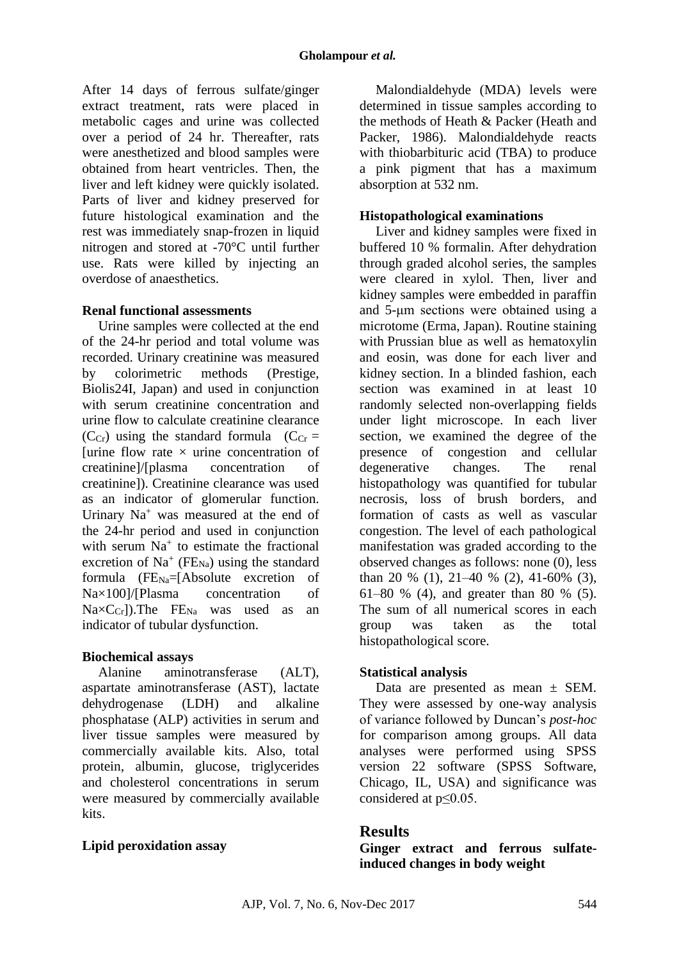After 14 days of ferrous sulfate/ginger extract treatment, rats were placed in metabolic cages and urine was collected over a period of 24 hr. Thereafter, rats were anesthetized and blood samples were obtained from heart ventricles. Then, the liver and left kidney were quickly isolated. Parts of liver and kidney preserved for future histological examination and the rest was immediately snap-frozen in liquid nitrogen and stored at -70°C until further use. Rats were killed by injecting an overdose of anaesthetics.

### **Renal functional assessments**

Urine samples were collected at the end of the 24-hr period and total volume was recorded. Urinary creatinine was measured by colorimetric methods (Prestige, Biolis24I, Japan) and used in conjunction with serum creatinine concentration and urine flow to calculate creatinine clearance ( $C_{Cr}$ ) using the standard formula ( $C_{Cr}$  = [urine flow rate  $\times$  urine concentration of creatinine]/[plasma concentration of creatinine]). Creatinine clearance was used as an indicator of glomerular function. Urinary Na<sup>+</sup> was measured at the end of the 24-hr period and used in conjunction with serum  $Na<sup>+</sup>$  to estimate the fractional excretion of  $Na^+$  (FE<sub>Na</sub>) using the standard formula  $(FE<sub>Na</sub>=[Absolute execution of]$ Na×100]/[Plasma concentration of  $NaxC_{Cr}$ ). The FE<sub>Na</sub> was used as an indicator of tubular dysfunction.

### **Biochemical assays**

Alanine aminotransferase (ALT), aspartate aminotransferase (AST), lactate dehydrogenase (LDH) and alkaline phosphatase (ALP) activities in serum and liver tissue samples were measured by commercially available kits. Also, total protein, albumin, glucose, triglycerides and cholesterol concentrations in serum were measured by commercially available kits.

### **Lipid peroxidation assay**

Malondialdehyde (MDA) levels were determined in tissue samples according to the methods of Heath & Packer (Heath and Packer, 1986). Malondialdehyde reacts with thiobarbituric acid (TBA) to produce a pink pigment that has a maximum absorption at 532 nm.

### **Histopathological examinations**

Liver and kidney samples were fixed in buffered 10 % formalin. After dehydration through graded alcohol series, the samples were cleared in xylol. Then, liver and kidney samples were embedded in paraffin and 5-μm sections were obtained using a microtome (Erma, Japan). Routine staining with Prussian blue as well as hematoxylin and eosin, was done for each liver and kidney section. In a blinded fashion, each section was examined in at least 10 randomly selected non-overlapping fields under light microscope. In each liver section, we examined the degree of the presence of congestion and cellular degenerative changes. The renal histopathology was quantified for tubular necrosis, loss of brush borders, and formation of casts as well as vascular congestion. The level of each pathological manifestation was graded according to the observed changes as follows: none (0), less than 20 % (1),  $21-40$  % (2),  $41-60$ % (3), 61–80 % (4), and greater than 80 % (5). The sum of all numerical scores in each group was taken as the total histopathological score.

## **Statistical analysis**

Data are presented as mean  $\pm$  SEM. They were assessed by one-way analysis of variance followed by Duncan's *post-hoc* for comparison among groups. All data analyses were performed using SPSS version 22 software (SPSS Software, Chicago, IL, USA) and significance was considered at p≤0.05.

## **Results**

**Ginger extract and ferrous sulfateinduced changes in body weight**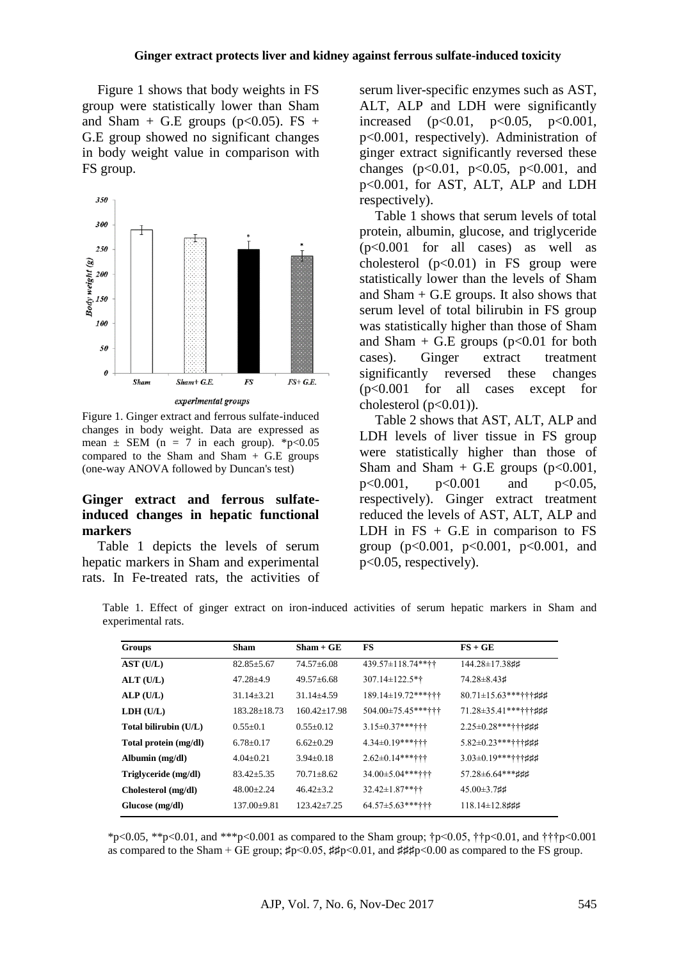Figure 1 shows that body weights in FS group were statistically lower than Sham and Sham + G.E groups ( $p<0.05$ ). FS + G.E group showed no significant changes in body weight value in comparison with FS group.



Figure 1. Ginger extract and ferrous sulfate-induced changes in body weight. Data are expressed as mean  $\pm$  SEM (n = 7 in each group). \*p<0.05 compared to the Sham and Sham  $+$  G.E groups (one-way ANOVA followed by Duncan's test)

### **Ginger extract and ferrous sulfateinduced changes in hepatic functional markers**

Table 1 depicts the levels of serum hepatic markers in Sham and experimental rats. In Fe-treated rats, the activities of serum liver-specific enzymes such as AST, ALT, ALP and LDH were significantly increased  $(p<0.01, p<0.05, p<0.001,$ p<0.001, respectively). Administration of ginger extract significantly reversed these changes (p<0.01, p<0.05, p<0.001, and p<0.001, for AST, ALT, ALP and LDH respectively).

Table 1 shows that serum levels of total protein, albumin, glucose, and triglyceride (p<0.001 for all cases) as well as cholesterol  $(p<0.01)$  in FS group were statistically lower than the levels of Sham and  $Sham + G.E$  groups. It also shows that serum level of total bilirubin in FS group was statistically higher than those of Sham and Sham + G.E groups  $(p<0.01$  for both cases). Ginger extract treatment significantly reversed these changes (p<0.001 for all cases except for cholesterol  $(p<0.01)$ ).

Table 2 shows that AST, ALT, ALP and LDH levels of liver tissue in FS group were statistically higher than those of Sham and Sham + G.E groups  $(p<0.001$ , p<0.001, p<0.001 and p<0.05, respectively). Ginger extract treatment reduced the levels of AST, ALT, ALP and LDH in  $FS + G.E$  in comparison to  $FS$ group (p<0.001, p<0.001, p<0.001, and p<0.05, respectively).

Table 1. Effect of ginger extract on iron-induced activities of serum hepatic markers in Sham and experimental rats.

| <b>Groups</b>         | <b>Sham</b>      | $Sham + GE$      | <b>FS</b>                 | $FS + GE$                   |
|-----------------------|------------------|------------------|---------------------------|-----------------------------|
| AST (U/L)             | $82.85 \pm 5.67$ | $74.57\pm 6.08$  | $439.57 \pm 118.74$ **††  | 144.28±17.38##              |
| ALT(U/L)              | $47.28 + 4.9$    | $49.57 + 6.68$   | 307.14±122.5*†            | 74.28 ± 8.43 #              |
| ALP(U/L)              | $31.14 \pm 3.21$ | $31.14 \pm 4.59$ | $189.14 \pm 19.72$ ***††† | $80.71 \pm 15.63$ ***†††### |
| LDH (U/L)             | 183.28+18.73     | $160.42 + 17.98$ | $504.00\pm75.45***$       | $71.28 \pm 35.41$ ***††‡##  |
| Total bilirubin (U/L) | $0.55+0.1$       | $0.55 \pm 0.12$  | $3.15 \pm 0.37$ ***†††    | $2.25 \pm 0.28$ ***†††###   |
| Total protein (mg/dl) | $6.78 \pm 0.17$  | $6.62 \pm 0.29$  | $4.34\pm0.19***$          | $5.82 \pm 0.23$ ***††‡##    |
| Albumin (mg/dl)       | $4.04 \pm 0.21$  | $3.94 \pm 0.18$  | $2.62 \pm 0.14$ ***†††    | $3.03\pm0.19$ ***†††###     |
| Triglyceride (mg/dl)  | $83.42 + 5.35$   | $70.71 + 8.62$   | 34.00±5.04******          | 57.28±6.64 *** ###          |
| Cholesterol (mg/dl)   | $48.00 \pm 2.24$ | $46.42 \pm 3.2$  | $32.42 \pm 1.87$ **††     | $45.00\pm3.7$ ##            |
| Glucose (mg/dl)       | $137.00+9.81$    | $123.42 + 7.25$  | $64.57 \pm 5.63$ ***†††   | $118.14 \pm 12.8$ ###       |

\*p<0.05, \*\*p<0.01, and \*\*\*p<0.001 as compared to the Sham group; †p<0.05, ††p<0.01, and †††p<0.001 as compared to the Sham + GE group;  $\sharp p < 0.05$ ,  $\sharp \sharp p < 0.01$ , and  $\sharp \sharp \sharp p < 0.00$  as compared to the FS group.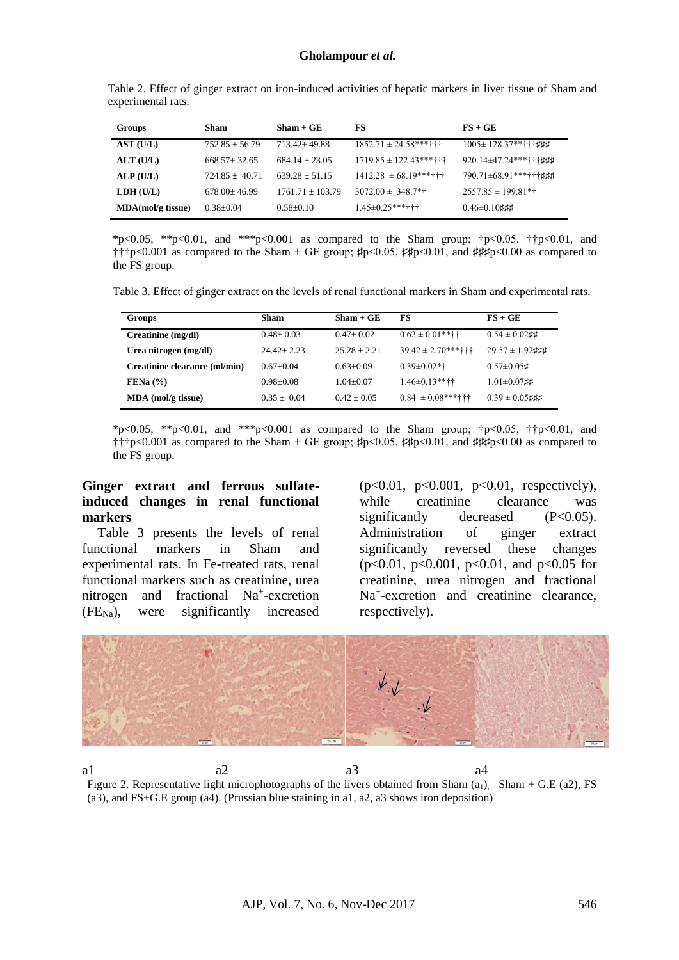Table 2. Effect of ginger extract on iron-induced activities of hepatic markers in liver tissue of Sham and experimental rats.

| <b>Groups</b>     | Sham               | $Sham + GE$        | FS                          | $FS + GE$                     |
|-------------------|--------------------|--------------------|-----------------------------|-------------------------------|
| AST (U/L)         | $752.85 \pm 56.79$ | $713.42 + 49.88$   | $1852.71 \pm 24.58$ ***†††  | $1005 \pm 128.37$ *****###    |
| ALT(U/L)          | $668.57 + 32.65$   | $684.14 + 23.05$   | $1719.85 \pm 122.43$ ****†† | $920.14 \pm 47.24$ *******### |
| ALP(U/L)          | $724.85 + 40.71$   | $639.28 + 51.15$   | $1412.28 \pm 68.19$ ***†††  | $790.71 \pm 68.91$ ***†††###  |
| LDH (U/L)         | $678.00 + 46.99$   | $1761.71 + 103.79$ | $3072.00 \pm 348.7$ *†      | $2557.85 \pm 199.81**$        |
| MDA(mol/g tissue) | $0.38 + 0.04$      | $0.58 + 0.10$      | $1.45 \pm 0.25$ ***†††      | $0.46 \pm 0.10$ ###           |

\*p<0.05, \*\*p<0.01, and \*\*\*p<0.001 as compared to the Sham group;  $\uparrow p$ <0.05,  $\uparrow \uparrow p$ <0.01, and ††p<0.001 as compared to the Sham + GE group;  $\sharp p \le 0.05$ ,  $\sharp \sharp p \le 0.01$ , and  $\sharp \sharp \sharp p \le 0.00$  as compared to the FS group.

Table 3. Effect of ginger extract on the levels of renal functional markers in Sham and experimental rats.

| <b>Groups</b>                 | Sham          | $Sham + GE$    | FS                      | $FS + GE$            |
|-------------------------------|---------------|----------------|-------------------------|----------------------|
| Creatinine (mg/dl)            | $0.48 + 0.03$ | $0.47 + 0.02$  | $0.62 \pm 0.01$ **††    | $0.54 \pm 0.02$ ##   |
| Urea nitrogen (mg/dl)         | $2442 + 223$  | $25.28 + 2.21$ | $39.42 \pm 2.70$ ***††† | $29.57 \pm 1.92$ ### |
| Creatinine clearance (ml/min) | $0.67+0.04$   | $0.63+0.09$    | $0.39 \pm 0.02$ *†      | $0.57 \pm 0.05$ #    |
| FENa (%)                      | $0.98 + 0.08$ | $1.04 + 0.07$  | $1.46\pm0.13***$        | $1.01 \pm 0.07$ ##   |
| $MDA$ (mol/g tissue)          | $0.35 + 0.04$ | $0.42 + 0.05$  | $0.84 \pm 0.08$ ***†††  | $0.39 \pm 0.05$ ###  |

\*p<0.05, \*\*p<0.01, and \*\*\*p<0.001 as compared to the Sham group; †p<0.05, ††p<0.01, and †††p<0.001 as compared to the Sham + GE group; ♯p<0.05, ♯♯p<0.01, and ♯♯♯p<0.00 as compared to the FS group.

#### **Ginger extract and ferrous sulfateinduced changes in renal functional markers**

Table 3 presents the levels of renal functional markers in Sham and experimental rats. In Fe-treated rats, renal functional markers such as creatinine, urea nitrogen and fractional Na<sup>+</sup>-excretion  $(FE<sub>Na</sub>)$ , were significantly increased

(p<0.01, p<0.001, p<0.01, respectively), while creatinine clearance was significantly decreased  $(P<0.05)$ . Administration of ginger extract significantly reversed these changes (p<0.01, p<0.001, p<0.01, and p<0.05 for creatinine, urea nitrogen and fractional Na<sup>+</sup> -excretion and creatinine clearance, respectively).



a1 a2 a3 a4 Figure 2. Representative light microphotographs of the livers obtained from Sham  $(a_1)$ , Sham + G.E (a2), FS (a3), and FS+G.E group (a4). (Prussian blue staining in a1, a2, a3 shows iron deposition)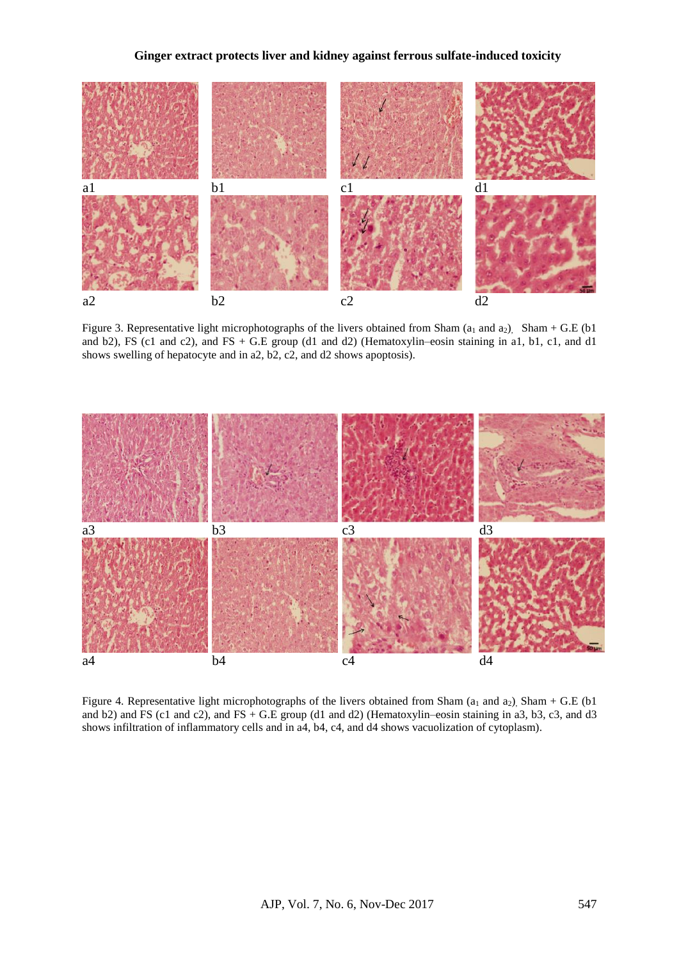#### **Ginger extract protects liver and kidney against ferrous sulfate-induced toxicity**



Figure 3. Representative light microphotographs of the livers obtained from Sham  $(a_1 \text{ and } a_2)$ , Sham + G.E (b1) and b2), FS (c1 and c2), and FS + G.E group (d1 and d2) (Hematoxylin–eosin staining in a1, b1, c1, and d1 shows swelling of hepatocyte and in a2, b2, c2, and d2 shows apoptosis).



Figure 4. Representative light microphotographs of the livers obtained from Sham ( $a_1$  and  $a_2$ ), Sham + G.E ( $b1$ and b2) and FS (c1 and c2), and FS + G.E group (d1 and d2) (Hematoxylin–eosin staining in a3, b3, c3, and d3 shows infiltration of inflammatory cells and in a4, b4, c4, and d4 shows vacuolization of cytoplasm).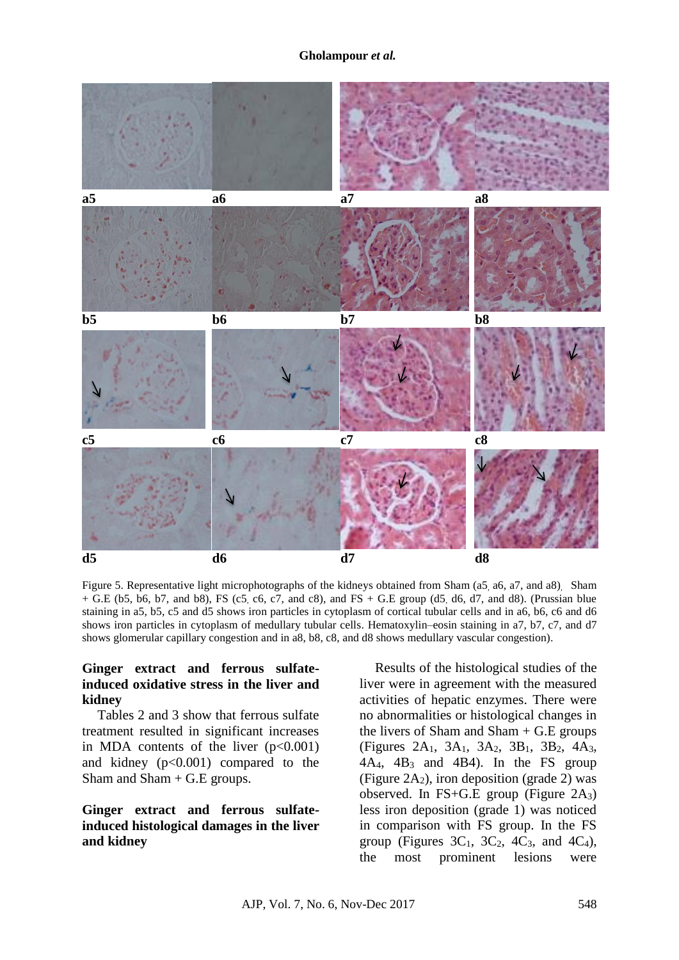#### **Gholampour** *et al.*



Figure 5. Representative light microphotographs of the kidneys obtained from Sham (a5, a6, a7, and a8). Sham  $+$  G.E (b5, b6, b7, and b8), FS (c5, c6, c7, and c8), and FS  $+$  G.E group (d5, d6, d7, and d8). (Prussian blue staining in a5, b5, c5 and d5 shows iron particles in cytoplasm of cortical tubular cells and in a6, b6, c6 and d6 shows iron particles in cytoplasm of medullary tubular cells. Hematoxylin–eosin staining in a7, b7, c7, and d7 shows glomerular capillary congestion and in a8, b8, c8, and d8 shows medullary vascular congestion).

### **Ginger extract and ferrous sulfateinduced oxidative stress in the liver and kidney**

Tables 2 and 3 show that ferrous sulfate treatment resulted in significant increases in MDA contents of the liver  $(p<0.001)$ and kidney  $(p<0.001)$  compared to the Sham and Sham + G.E groups.

### **Ginger extract and ferrous sulfateinduced histological damages in the liver and kidney**

Results of the histological studies of the liver were in agreement with the measured activities of hepatic enzymes. There were no abnormalities or histological changes in the livers of Sham and Sham  $+$  G.E groups (Figures 2A1, 3A1, 3A2, 3B1, 3B2, 4A3,  $4A_4$ ,  $4B_3$  and  $4B_4$ ). In the FS group (Figure 2A<sub>2</sub>), iron deposition (grade 2) was observed. In FS+G.E group (Figure  $2A_3$ ) less iron deposition (grade 1) was noticed in comparison with FS group. In the FS group (Figures  $3C_1$ ,  $3C_2$ ,  $4C_3$ , and  $4C_4$ ), the most prominent lesions were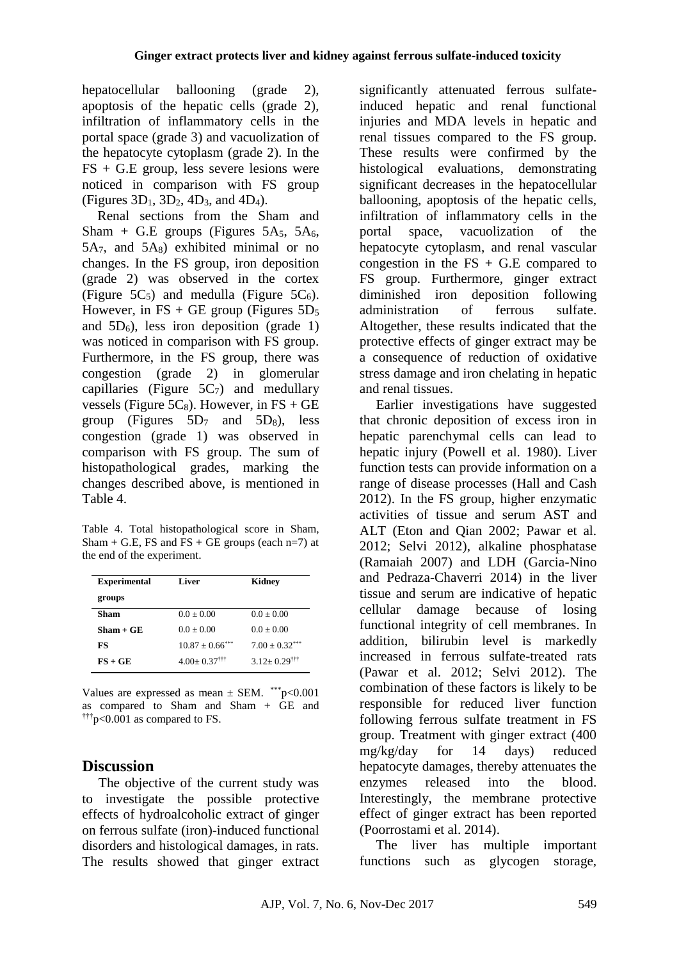hepatocellular ballooning (grade 2), apoptosis of the hepatic cells (grade 2), infiltration of inflammatory cells in the portal space (grade 3) and vacuolization of the hepatocyte cytoplasm (grade 2). In the FS + G.E group, less severe lesions were noticed in comparison with FS group (Figures  $3D_1$ ,  $3D_2$ ,  $4D_3$ , and  $4D_4$ ).

Renal sections from the Sham and Sham + G.E groups (Figures 5A $_5$ , 5A $_6$ ,  $5A_7$ , and  $5A_8$ ) exhibited minimal or no changes. In the FS group, iron deposition (grade 2) was observed in the cortex (Figure  $5C_5$ ) and medulla (Figure  $5C_6$ ). However, in FS + GE group (Figures  $5D_5$ ) and  $5D_6$ ), less iron deposition (grade 1) was noticed in comparison with FS group. Furthermore, in the FS group, there was congestion (grade 2) in glomerular capillaries (Figure  $5C_7$ ) and medullary vessels (Figure 5 $C_8$ ). However, in FS + GE group (Figures  $5D_7$  and  $5D_8$ ), less congestion (grade 1) was observed in comparison with FS group. The sum of histopathological grades, marking the changes described above, is mentioned in Table 4.

Table 4. Total histopathological score in Sham, Sham + G.E, FS and  $\overline{FS}$  + GE groups (each n=7) at the end of the experiment.

| <b>Experimental</b> | Liver                         | Kidnev                       |
|---------------------|-------------------------------|------------------------------|
| groups              |                               |                              |
| Sham                | $0.0 + 0.00$                  | $0.0 + 0.00$                 |
| Sham + GE           | $0.0 + 0.00$                  | $0.0 + 0.00$                 |
| FS                  | $10.87 + 0.66$ <sup>***</sup> | $7.00 + 0.32***$             |
| $FS + GE$           | $4.00+0.37$ <sup>†††</sup>    | $3.12 + 0.29$ <sup>†††</sup> |

Values are expressed as mean  $\pm$  SEM. \*\*\* p<0.001 as compared to Sham and Sham  $+$  GE and  $\frac{\text{tr}}{\text{tr}}$  p<0.001 as compared to FS.

# **Discussion**

The objective of the current study was to investigate the possible protective effects of hydroalcoholic extract of ginger on ferrous sulfate (iron)-induced functional disorders and histological damages, in rats. The results showed that ginger extract

significantly attenuated ferrous sulfateinduced hepatic and renal functional injuries and MDA levels in hepatic and renal tissues compared to the FS group. These results were confirmed by the histological evaluations, demonstrating significant decreases in the hepatocellular ballooning, apoptosis of the hepatic cells, infiltration of inflammatory cells in the portal space, vacuolization of the hepatocyte cytoplasm, and renal vascular congestion in the  $FS + G.E$  compared to FS group. Furthermore, ginger extract diminished iron deposition following administration of ferrous sulfate. Altogether, these results indicated that the protective effects of ginger extract may be a consequence of reduction of oxidative stress damage and iron chelating in hepatic and renal tissues.

Earlier investigations have suggested that chronic deposition of excess iron in hepatic parenchymal cells can lead to hepatic injury (Powell et al. 1980). Liver function tests can provide information on a range of disease processes (Hall and Cash 2012). In the FS group, higher enzymatic activities of tissue and serum AST and ALT (Eton and Qian 2002; Pawar et al. 2012; Selvi 2012), alkaline phosphatase (Ramaiah 2007) and LDH (Garcia-Nino and Pedraza-Chaverri 2014) in the liver tissue and serum are indicative of hepatic cellular damage because of losing functional integrity of cell membranes. In addition, bilirubin level is markedly increased in ferrous sulfate-treated rats (Pawar et al. 2012; Selvi 2012). The combination of these factors is likely to be responsible for reduced liver function following ferrous sulfate treatment in FS group. Treatment with ginger extract (400 mg/kg/day for 14 days) reduced hepatocyte damages, thereby attenuates the enzymes released into the blood. Interestingly, the membrane protective effect of ginger extract has been reported (Poorrostami et al. 2014).

The liver has multiple important functions such as glycogen storage,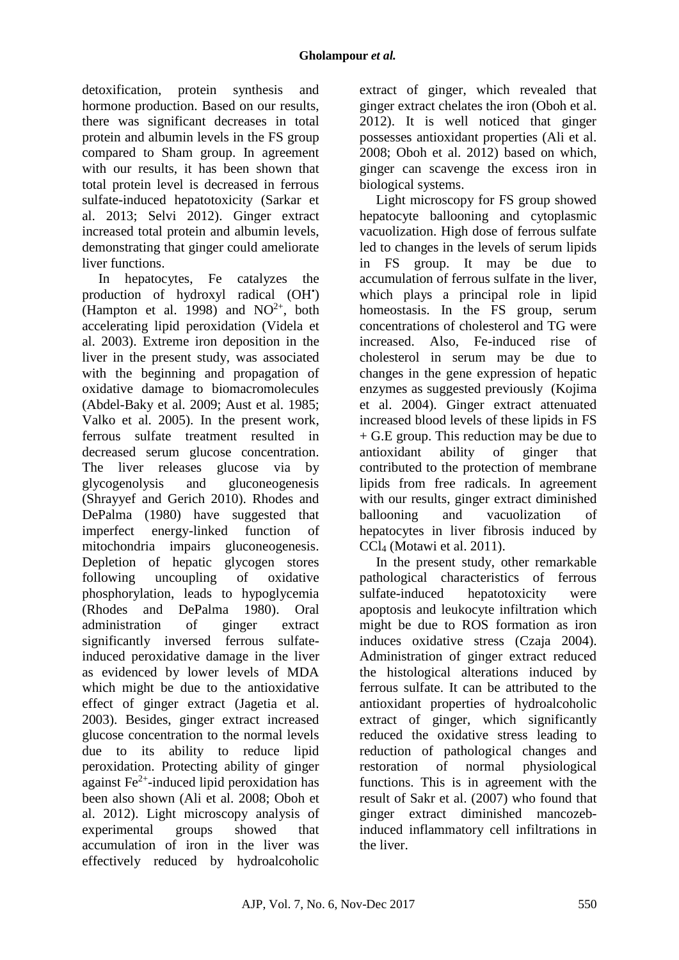detoxification, protein synthesis and hormone production. Based on our results, there was significant decreases in total protein and albumin levels in the FS group compared to Sham group. In agreement with our results, it has been shown that total protein level is decreased in ferrous sulfate-induced hepatotoxicity (Sarkar et al. 2013; Selvi 2012). Ginger extract increased total protein and albumin levels, demonstrating that ginger could ameliorate liver functions.

In hepatocytes, Fe catalyzes the production of hydroxyl radical (OH') (Hampton et al. 1998) and  $NO^{2+}$ , both accelerating lipid peroxidation (Videla et al. 2003). Extreme iron deposition in the liver in the present study, was associated with the beginning and propagation of oxidative damage to biomacromolecules (Abdel-Baky et al. 2009; Aust et al. 1985; Valko et al. 2005). In the present work, ferrous sulfate treatment resulted in decreased serum glucose concentration. The liver releases glucose via by glycogenolysis and gluconeogenesis (Shrayyef and Gerich 2010). Rhodes and DePalma (1980) have suggested that imperfect energy-linked function of mitochondria impairs gluconeogenesis. Depletion of hepatic glycogen stores following uncoupling of oxidative phosphorylation, leads to hypoglycemia (Rhodes and DePalma 1980). Oral administration of ginger extract significantly inversed ferrous sulfateinduced peroxidative damage in the liver as evidenced by lower levels of MDA which might be due to the antioxidative effect of ginger extract (Jagetia et al. 2003). Besides, ginger extract increased glucose concentration to the normal levels due to its ability to reduce lipid peroxidation. Protecting ability of ginger against Fe2+ -induced lipid peroxidation has been also shown (Ali et al. 2008; Oboh et al. 2012). Light microscopy analysis of experimental groups showed that accumulation of iron in the liver was effectively reduced by hydroalcoholic

extract of ginger, which revealed that ginger extract chelates the iron (Oboh et al. 2012). It is well noticed that ginger possesses antioxidant properties (Ali et al. 2008; Oboh et al. 2012) based on which, ginger can scavenge the excess iron in biological systems.

Light microscopy for FS group showed hepatocyte ballooning and cytoplasmic vacuolization. High dose of ferrous sulfate led to changes in the levels of serum lipids in FS group. It may be due to accumulation of ferrous sulfate in the liver, which plays a principal role in lipid homeostasis. In the FS group, serum concentrations of cholesterol and TG were increased. Also, Fe-induced rise of cholesterol in serum may be due to changes in the gene expression of hepatic enzymes as suggested previously (Kojima et al. 2004). Ginger extract attenuated increased blood levels of these lipids in FS + G.E group. This reduction may be due to antioxidant ability of ginger that contributed to the protection of membrane lipids from free radicals. In agreement with our results, ginger extract diminished ballooning and vacuolization of hepatocytes in liver fibrosis induced by CCl<sup>4</sup> (Motawi et al. 2011).

In the present study, other remarkable pathological characteristics of ferrous sulfate-induced hepatotoxicity were apoptosis and leukocyte infiltration which might be due to ROS formation as iron induces oxidative stress (Czaja 2004). Administration of ginger extract reduced the histological alterations induced by ferrous sulfate. It can be attributed to the antioxidant properties of hydroalcoholic extract of ginger, which significantly reduced the oxidative stress leading to reduction of pathological changes and restoration of normal physiological functions. This is in agreement with the result of Sakr et al. (2007) who found that ginger extract diminished mancozebinduced inflammatory cell infiltrations in the liver.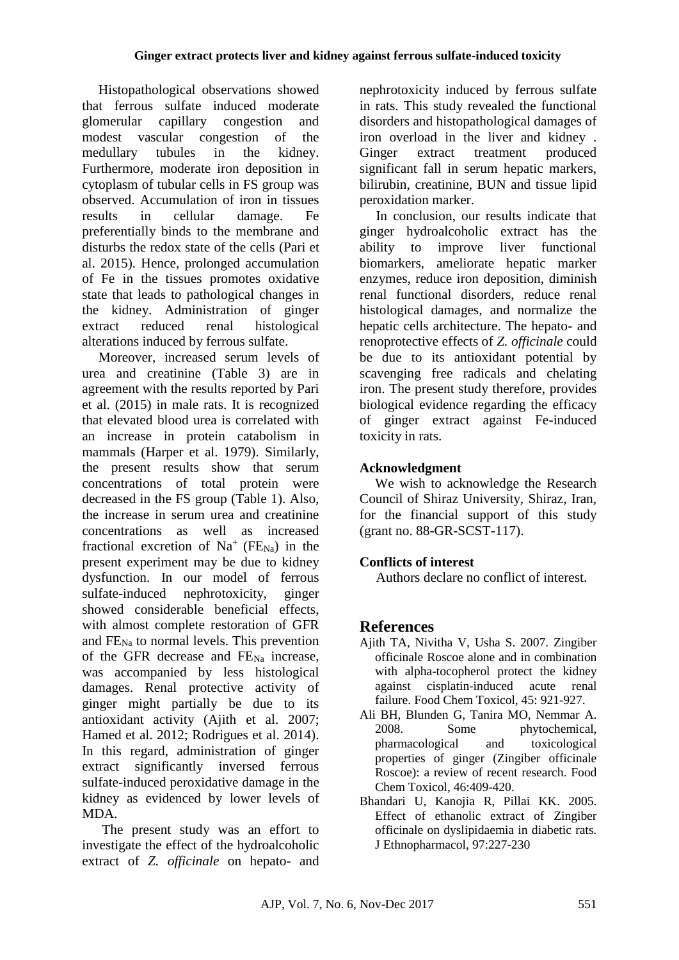Histopathological observations showed that ferrous sulfate induced moderate glomerular capillary congestion and modest vascular congestion of the medullary tubules in the kidney. Furthermore, moderate iron deposition in cytoplasm of tubular cells in FS group was observed. Accumulation of iron in tissues results in cellular damage. Fe preferentially binds to the membrane and disturbs the redox state of the cells (Pari et al. 2015). Hence, prolonged accumulation of Fe in the tissues promotes oxidative state that leads to pathological changes in the kidney. Administration of ginger extract reduced renal histological alterations induced by ferrous sulfate.

Moreover, increased serum levels of urea and creatinine (Table 3) are in agreement with the results reported by Pari et al. (2015) in male rats. It is recognized that elevated blood urea is correlated with an increase in protein catabolism in mammals (Harper et al. 1979). Similarly, the present results show that serum concentrations of total protein were decreased in the FS group (Table 1). Also, the increase in serum urea and creatinine concentrations as well as increased fractional excretion of  $Na<sup>+</sup> (FE<sub>Na</sub>)$  in the present experiment may be due to kidney dysfunction. In our model of ferrous sulfate-induced nephrotoxicity, ginger showed considerable beneficial effects, with almost complete restoration of GFR and FENa to normal levels. This prevention of the GFR decrease and  $FE_{Na}$  increase, was accompanied by less histological damages. Renal protective activity of ginger might partially be due to its antioxidant activity (Ajith et al. 2007; Hamed et al. 2012; Rodrigues et al. 2014). In this regard, administration of ginger extract significantly inversed ferrous sulfate-induced peroxidative damage in the kidney as evidenced by lower levels of MDA.

The present study was an effort to investigate the effect of the hydroalcoholic extract of *Z. officinale* on hepato- and nephrotoxicity induced by ferrous sulfate in rats. This study revealed the functional disorders and histopathological damages of iron overload in the liver and kidney . Ginger extract treatment produced significant fall in serum hepatic markers, bilirubin, creatinine, BUN and tissue lipid peroxidation marker.

In conclusion, our results indicate that ginger hydroalcoholic extract has the ability to improve liver functional biomarkers, ameliorate hepatic marker enzymes, reduce iron deposition, diminish renal functional disorders, reduce renal histological damages, and normalize the hepatic cells architecture. The hepato- and renoprotective effects of *Z. officinale* could be due to its antioxidant potential by scavenging free radicals and chelating iron. The present study therefore, provides biological evidence regarding the efficacy of ginger extract against Fe-induced toxicity in rats.

# **Acknowledgment**

We wish to acknowledge the Research Council of Shiraz University, Shiraz, Iran, for the financial support of this study (grant no. 88-GR-SCST-117).

# **Conflicts of interest**

Authors declare no conflict of interest.

# **References**

- Ajith TA, Nivitha V, Usha S. 2007. Zingiber officinale Roscoe alone and in combination with alpha-tocopherol protect the kidney against cisplatin-induced acute renal failure. Food Chem Toxicol, 45: 921-927.
- Ali BH, Blunden G, Tanira MO, Nemmar A. 2008. Some phytochemical, pharmacological and toxicological properties of ginger (Zingiber officinale Roscoe): a review of recent research. Food Chem Toxicol, 46:409-420.
- Bhandari U, Kanojia R, Pillai KK. 2005. Effect of ethanolic extract of Zingiber officinale on dyslipidaemia in diabetic rats. J Ethnopharmacol, 97:227-230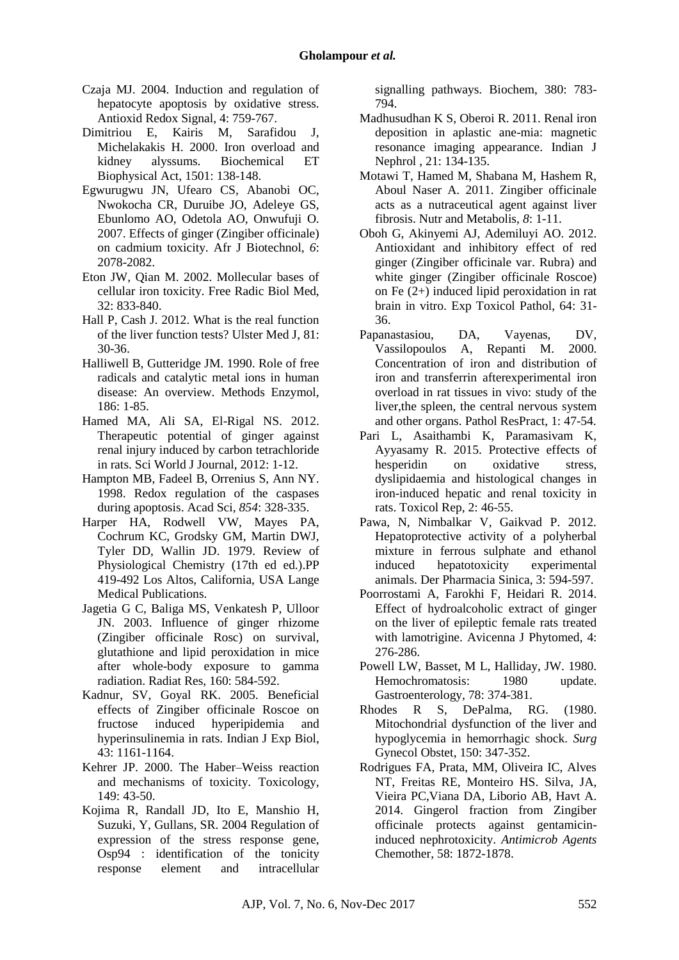- Czaja MJ. 2004. Induction and regulation of hepatocyte apoptosis by oxidative stress. Antioxid Redox Signal, 4: 759-767.
- Dimitriou E, Kairis M, Sarafidou J, Michelakakis H. 2000. Iron overload and kidney alyssums. Biochemical ET Biophysical Act, 1501: 138-148.
- Egwurugwu JN, Ufearo CS, Abanobi OC, Nwokocha CR, Duruibe JO, Adeleye GS, Ebunlomo AO, Odetola AO, Onwufuji O. 2007. Effects of ginger (Zingiber officinale) on cadmium toxicity. Afr J Biotechnol, *6*: 2078-2082.
- Eton JW, Qian M. 2002. Mollecular bases of cellular iron toxicity. Free Radic Biol Med, 32: 833-840.
- Hall P, Cash J. 2012. What is the real function of the liver function tests? Ulster Med J, 81: 30-36.
- Halliwell B, Gutteridge JM. 1990. Role of free radicals and catalytic metal ions in human disease: An overview. Methods Enzymol, 186: 1-85.
- Hamed MA, Ali SA, El-Rigal NS. 2012. Therapeutic potential of ginger against renal injury induced by carbon tetrachloride in rats. Sci World J Journal, 2012: 1-12.
- Hampton MB, Fadeel B, Orrenius S, Ann NY. 1998. Redox regulation of the caspases during apoptosis. Acad Sci, *854*: 328-335.
- Harper HA, Rodwell VW, Mayes PA, Cochrum KC, Grodsky GM, Martin DWJ, Tyler DD, Wallin JD. 1979. Review of Physiological Chemistry (17th ed ed.).PP 419-492 Los Altos, California, USA Lange Medical Publications.
- Jagetia G C, Baliga MS, Venkatesh P, Ulloor JN. 2003. Influence of ginger rhizome (Zingiber officinale Rosc) on survival, glutathione and lipid peroxidation in mice after whole-body exposure to gamma radiation. Radiat Res, 160: 584-592.
- Kadnur, SV, Goyal RK. 2005. Beneficial effects of Zingiber officinale Roscoe on fructose induced hyperipidemia and hyperinsulinemia in rats. Indian J Exp Biol, 43: 1161-1164.
- Kehrer JP. 2000. The Haber–Weiss reaction and mechanisms of toxicity. Toxicology, 149: 43-50.
- Kojima R, Randall JD, Ito E, Manshio H, Suzuki, Y, Gullans, SR. 2004 Regulation of expression of the stress response gene, Osp94 : identification of the tonicity response element and intracellular

signalling pathways. Biochem, 380: 783- 794.

- Madhusudhan K S, Oberoi R. 2011. Renal iron deposition in aplastic ane-mia: magnetic resonance imaging appearance. Indian J Nephrol , 21: 134-135.
- Motawi T, Hamed M, Shabana M, Hashem R, Aboul Naser A. 2011. Zingiber officinale acts as a nutraceutical agent against liver fibrosis. Nutr and Metabolis, *8*: 1-11.
- Oboh G, Akinyemi AJ, Ademiluyi AO. 2012. Antioxidant and inhibitory effect of red ginger (Zingiber officinale var. Rubra) and white ginger (Zingiber officinale Roscoe) on Fe (2+) induced lipid peroxidation in rat brain in vitro. Exp Toxicol Pathol, 64: 31- 36.
- Papanastasiou, DA, Vayenas, DV, Vassilopoulos A, Repanti M. 2000. Concentration of iron and distribution of iron and transferrin afterexperimental iron overload in rat tissues in vivo: study of the liver,the spleen, the central nervous system and other organs. Pathol ResPract, 1: 47-54.
- Pari L, Asaithambi K, Paramasivam K, Ayyasamy R. 2015. Protective effects of hesperidin on oxidative stress, dyslipidaemia and histological changes in iron-induced hepatic and renal toxicity in rats. Toxicol Rep, 2: 46-55.
- Pawa, N, Nimbalkar V, Gaikvad P. 2012. Hepatoprotective activity of a polyherbal mixture in ferrous sulphate and ethanol induced hepatotoxicity experimental animals. Der Pharmacia Sinica, 3: 594-597.
- Poorrostami A, Farokhi F, Heidari R. 2014. Effect of hydroalcoholic extract of ginger on the liver of epileptic female rats treated with lamotrigine. Avicenna J Phytomed*,* 4: 276-286.
- Powell LW, Basset, M L, Halliday, JW. 1980. Hemochromatosis: 1980 update. Gastroenterology, 78: 374-381.
- Rhodes R S, DePalma, RG. (1980. Mitochondrial dysfunction of the liver and hypoglycemia in hemorrhagic shock. *Surg*  Gynecol Obstet, 150: 347-352.
- Rodrigues FA, Prata, MM, Oliveira IC, Alves NT, Freitas RE, Monteiro HS. Silva, JA, Vieira PC,Viana DA, Liborio AB, Havt A. 2014. Gingerol fraction from Zingiber officinale protects against gentamicininduced nephrotoxicity. *Antimicrob Agents*  Chemother, 58: 1872-1878.